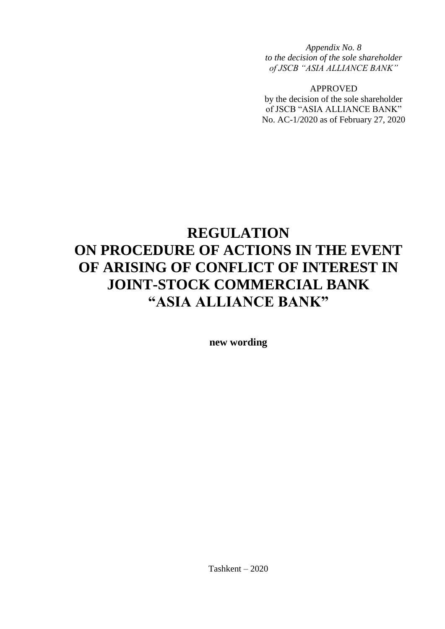*Appendix No. 8 to the decision of the sole shareholder of JSCB "ASIA ALLIANCE BANK"* 

APPROVED by the decision of the sole shareholder of JSCB "ASIA ALLIANCE BANK" No. AC-1/2020 as of February 27, 2020

# **REGULATION ON PROCEDURE OF ACTIONS IN THE EVENT OF ARISING OF CONFLICT OF INTEREST IN JOINT-STOCK COMMERCIAL BANK "ASIA ALLIANCE BANK"**

**new wording**

Tashkent – 2020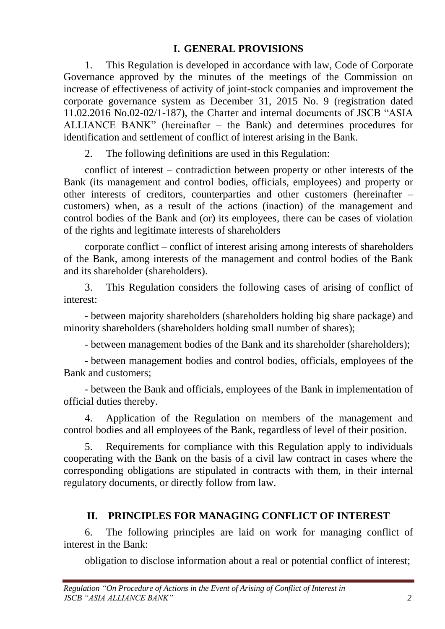## **I. GENERAL PROVISIONS**

1. This Regulation is developed in accordance with law, Code of Corporate Governance approved by the minutes of the meetings of the Commission on increase of effectiveness of activity of joint-stock companies and improvement the corporate governance system as December 31, 2015 No. 9 (registration dated 11.02.2016 No.02-02/1-187), the Charter and internal documents of JSCB "ASIA ALLIANCE BANK" (hereinafter – the Bank) and determines procedures for identification and settlement of conflict of interest arising in the Bank.

2. The following definitions are used in this Regulation:

conflict of interest – contradiction between property or other interests of the Bank (its management and control bodies, officials, employees) and property or other interests of creditors, counterparties and other customers (hereinafter – customers) when, as a result of the actions (inaction) of the management and control bodies of the Bank and (or) its employees, there can be cases of violation of the rights and legitimate interests of shareholders

corporate conflict – conflict of interest arising among interests of shareholders of the Bank, among interests of the management and control bodies of the Bank and its shareholder (shareholders).

3. This Regulation considers the following cases of arising of conflict of interest:

- between majority shareholders (shareholders holding big share package) and minority shareholders (shareholders holding small number of shares);

- between management bodies of the Bank and its shareholder (shareholders);

- between management bodies and control bodies, officials, employees of the Bank and customers;

- between the Bank and officials, employees of the Bank in implementation of official duties thereby.

4. Application of the Regulation on members of the management and control bodies and all employees of the Bank, regardless of level of their position.

5. Requirements for compliance with this Regulation apply to individuals cooperating with the Bank on the basis of a civil law contract in cases where the corresponding obligations are stipulated in contracts with them, in their internal regulatory documents, or directly follow from law.

## **II. PRINCIPLES FOR MANAGING CONFLICT OF INTEREST**

6. The following principles are laid on work for managing conflict of interest in the Bank:

obligation to disclose information about a real or potential conflict of interest;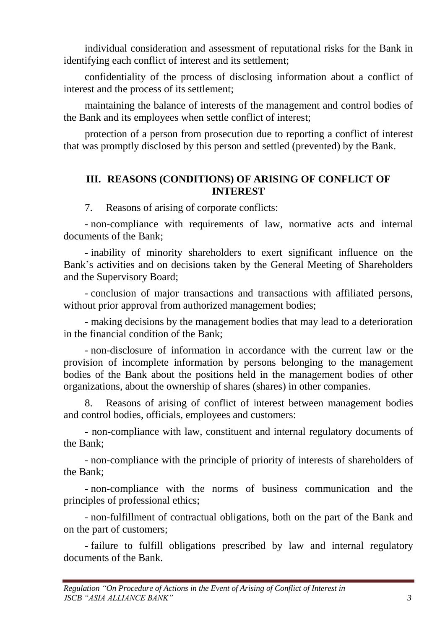individual consideration and assessment of reputational risks for the Bank in identifying each conflict of interest and its settlement;

confidentiality of the process of disclosing information about a conflict of interest and the process of its settlement;

maintaining the balance of interests of the management and control bodies of the Bank and its employees when settle conflict of interest;

protection of a person from prosecution due to reporting a conflict of interest that was promptly disclosed by this person and settled (prevented) by the Bank.

#### **III. REASONS (CONDITIONS) OF ARISING OF CONFLICT OF INTEREST**

7. Reasons of arising of corporate conflicts:

- non-compliance with requirements of law, normative acts and internal documents of the Bank;

- inability of minority shareholders to exert significant influence on the Bank's activities and on decisions taken by the General Meeting of Shareholders and the Supervisory Board;

- conclusion of major transactions and transactions with affiliated persons, without prior approval from authorized management bodies;

- making decisions by the management bodies that may lead to a deterioration in the financial condition of the Bank;

- non-disclosure of information in accordance with the current law or the provision of incomplete information by persons belonging to the management bodies of the Bank about the positions held in the management bodies of other organizations, about the ownership of shares (shares) in other companies.

8. Reasons of arising of conflict of interest between management bodies and control bodies, officials, employees and customers:

- non-compliance with law, constituent and internal regulatory documents of the Bank;

- non-compliance with the principle of priority of interests of shareholders of the Bank;

- non-compliance with the norms of business communication and the principles of professional ethics;

- non-fulfillment of contractual obligations, both on the part of the Bank and on the part of customers;

- failure to fulfill obligations prescribed by law and internal regulatory documents of the Bank.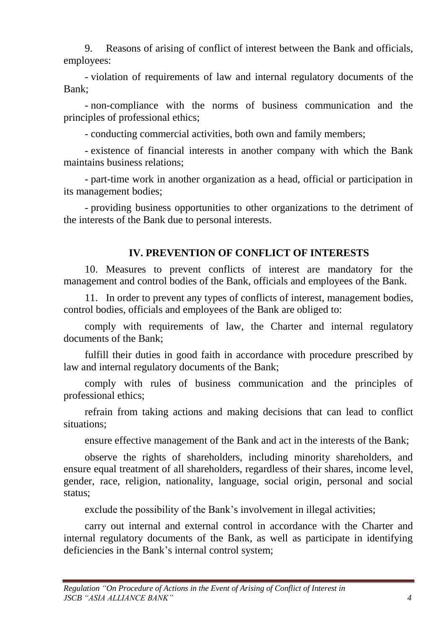9. Reasons of arising of conflict of interest between the Bank and officials, employees:

- violation of requirements of law and internal regulatory documents of the Bank;

- non-compliance with the norms of business communication and the principles of professional ethics;

- conducting commercial activities, both own and family members;

- existence of financial interests in another company with which the Bank maintains business relations;

- part-time work in another organization as a head, official or participation in its management bodies;

- providing business opportunities to other organizations to the detriment of the interests of the Bank due to personal interests.

### **IV. PREVENTION OF CONFLICT OF INTERESTS**

10. Measures to prevent conflicts of interest are mandatory for the management and control bodies of the Bank, officials and employees of the Bank.

11. In order to prevent any types of conflicts of interest, management bodies, control bodies, officials and employees of the Bank are obliged to:

comply with requirements of law, the Charter and internal regulatory documents of the Bank;

fulfill their duties in good faith in accordance with procedure prescribed by law and internal regulatory documents of the Bank;

comply with rules of business communication and the principles of professional ethics;

refrain from taking actions and making decisions that can lead to conflict situations;

ensure effective management of the Bank and act in the interests of the Bank;

observe the rights of shareholders, including minority shareholders, and ensure equal treatment of all shareholders, regardless of their shares, income level, gender, race, religion, nationality, language, social origin, personal and social status:

exclude the possibility of the Bank's involvement in illegal activities;

carry out internal and external control in accordance with the Charter and internal regulatory documents of the Bank, as well as participate in identifying deficiencies in the Bank's internal control system;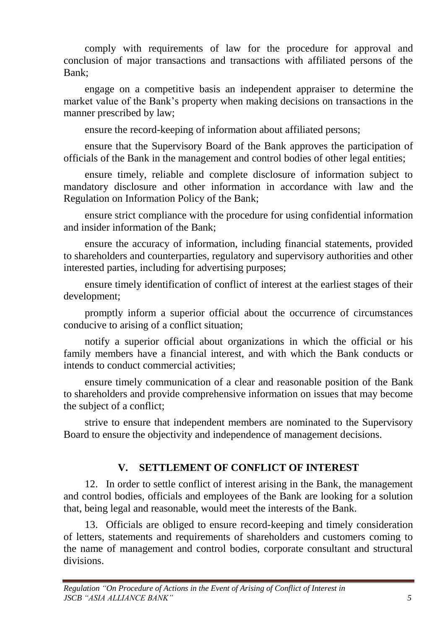comply with requirements of law for the procedure for approval and conclusion of major transactions and transactions with affiliated persons of the Bank;

engage on a competitive basis an independent appraiser to determine the market value of the Bank's property when making decisions on transactions in the manner prescribed by law;

ensure the record-keeping of information about affiliated persons;

ensure that the Supervisory Board of the Bank approves the participation of officials of the Bank in the management and control bodies of other legal entities;

ensure timely, reliable and complete disclosure of information subject to mandatory disclosure and other information in accordance with law and the Regulation on Information Policy of the Bank;

ensure strict compliance with the procedure for using confidential information and insider information of the Bank;

ensure the accuracy of information, including financial statements, provided to shareholders and counterparties, regulatory and supervisory authorities and other interested parties, including for advertising purposes;

ensure timely identification of conflict of interest at the earliest stages of their development;

promptly inform a superior official about the occurrence of circumstances conducive to arising of a conflict situation;

notify a superior official about organizations in which the official or his family members have a financial interest, and with which the Bank conducts or intends to conduct commercial activities;

ensure timely communication of a clear and reasonable position of the Bank to shareholders and provide comprehensive information on issues that may become the subject of a conflict;

strive to ensure that independent members are nominated to the Supervisory Board to ensure the objectivity and independence of management decisions.

## **V. SETTLEMENT OF CONFLICT OF INTEREST**

12. In order to settle conflict of interest arising in the Bank, the management and control bodies, officials and employees of the Bank are looking for a solution that, being legal and reasonable, would meet the interests of the Bank.

13. Officials are obliged to ensure record-keeping and timely consideration of letters, statements and requirements of shareholders and customers coming to the name of management and control bodies, corporate consultant and structural divisions.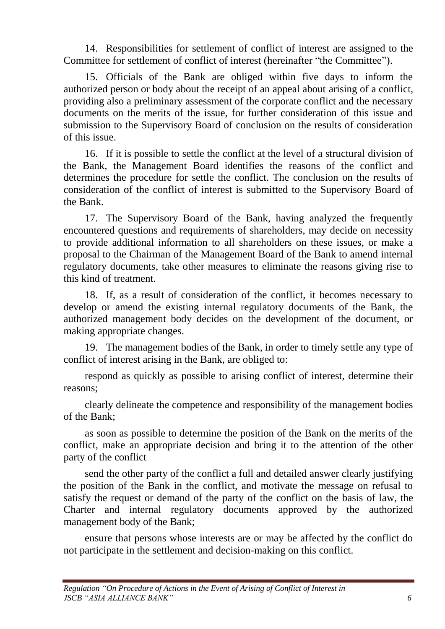14. Responsibilities for settlement of conflict of interest are assigned to the Committee for settlement of conflict of interest (hereinafter "the Committee").

15. Officials of the Bank are obliged within five days to inform the authorized person or body about the receipt of an appeal about arising of a conflict, providing also a preliminary assessment of the corporate conflict and the necessary documents on the merits of the issue, for further consideration of this issue and submission to the Supervisory Board of conclusion on the results of consideration of this issue.

16. If it is possible to settle the conflict at the level of a structural division of the Bank, the Management Board identifies the reasons of the conflict and determines the procedure for settle the conflict. The conclusion on the results of consideration of the conflict of interest is submitted to the Supervisory Board of the Bank.

17. The Supervisory Board of the Bank, having analyzed the frequently encountered questions and requirements of shareholders, may decide on necessity to provide additional information to all shareholders on these issues, or make a proposal to the Chairman of the Management Board of the Bank to amend internal regulatory documents, take other measures to eliminate the reasons giving rise to this kind of treatment.

18. If, as a result of consideration of the conflict, it becomes necessary to develop or amend the existing internal regulatory documents of the Bank, the authorized management body decides on the development of the document, or making appropriate changes.

19. The management bodies of the Bank, in order to timely settle any type of conflict of interest arising in the Bank, are obliged to:

respond as quickly as possible to arising conflict of interest, determine their reasons;

clearly delineate the competence and responsibility of the management bodies of the Bank;

as soon as possible to determine the position of the Bank on the merits of the conflict, make an appropriate decision and bring it to the attention of the other party of the conflict

send the other party of the conflict a full and detailed answer clearly justifying the position of the Bank in the conflict, and motivate the message on refusal to satisfy the request or demand of the party of the conflict on the basis of law, the Charter and internal regulatory documents approved by the authorized management body of the Bank;

ensure that persons whose interests are or may be affected by the conflict do not participate in the settlement and decision-making on this conflict.